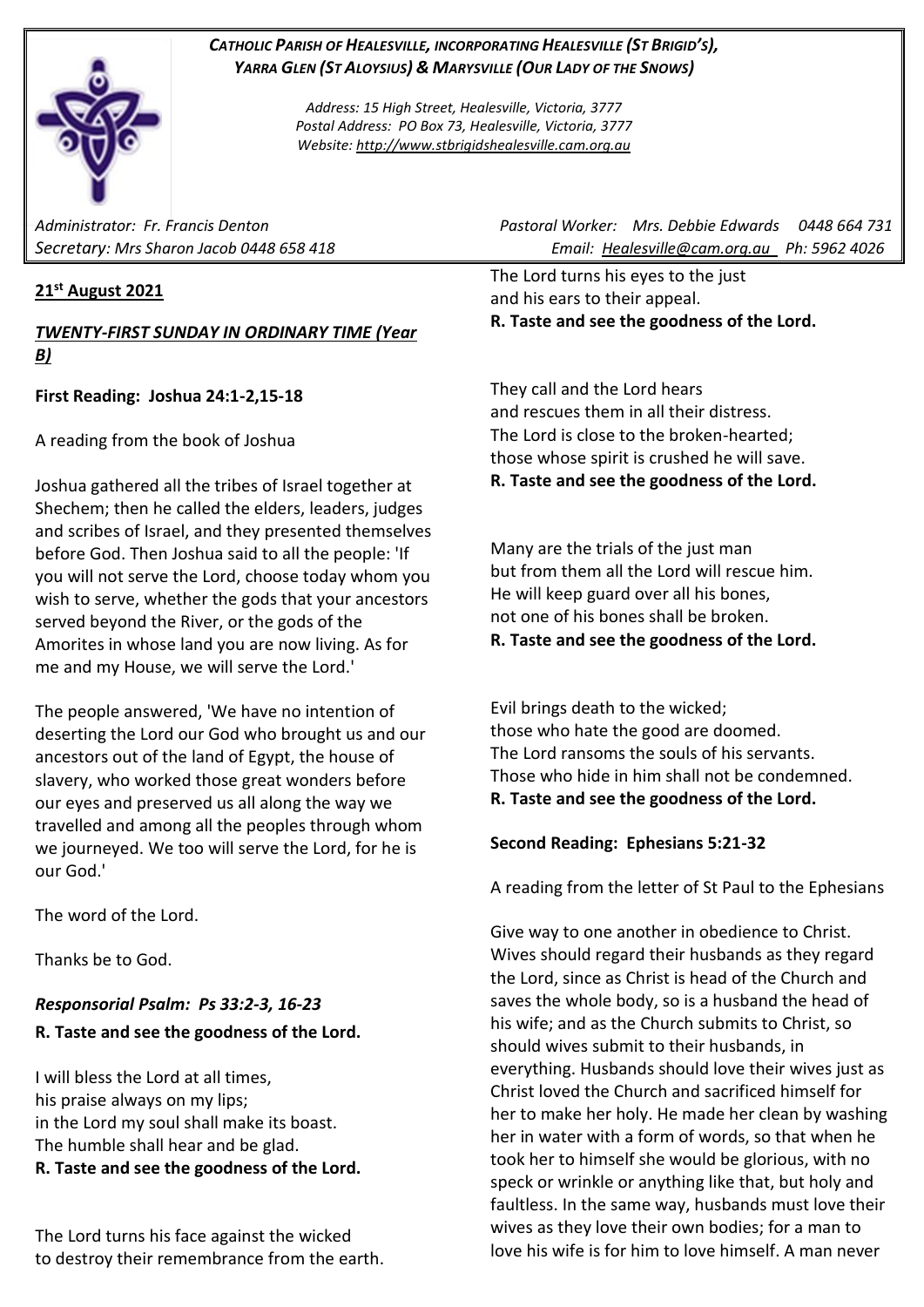## *CATHOLIC PARISH OF HEALESVILLE, INCORPORATING HEALESVILLE (ST BRIGID'S), YARRA GLEN (ST ALOYSIUS) & MARYSVILLE (OUR LADY OF THE SNOWS)*

*Address: 15 High Street, Healesville, Victoria, 3777 Postal Address: PO Box 73, Healesville, Victoria, 3777 Website: [http://www.stbrigidshealesville.cam.org.au](http://www.stbrigidshealesville.cam.org.au/)*

*Administrator: Fr. Francis Denton Pastoral Worker: Mrs. Debbie Edwards 0448 664 731 Secretary: Mrs Sharon Jacob 0448 658 418 Email: [Healesville@cam.org.au](mailto:Healesville@cam.org.au) Ph: 5962 4026* 

> The Lord turns his eyes to the just and his ears to their appeal. **R. Taste and see the goodness of the Lord.**

# **First Reading: Joshua 24:1-2,15-18**

A reading from the book of Joshua

Joshua gathered all the tribes of Israel together at Shechem; then he called the elders, leaders, judges and scribes of Israel, and they presented themselves before God. Then Joshua said to all the people: 'If you will not serve the Lord, choose today whom you wish to serve, whether the gods that your ancestors served beyond the River, or the gods of the Amorites in whose land you are now living. As for me and my House, we will serve the Lord.'

*TWENTY-FIRST SUNDAY IN ORDINARY TIME (Year* 

The people answered, 'We have no intention of deserting the Lord our God who brought us and our ancestors out of the land of Egypt, the house of slavery, who worked those great wonders before our eyes and preserved us all along the way we travelled and among all the peoples through whom we journeyed. We too will serve the Lord, for he is our God.'

The word of the Lord.

Thanks be to God.

# *Responsorial Psalm: Ps 33:2-3, 16-23* **R. Taste and see the goodness of the Lord.**

I will bless the Lord at all times, his praise always on my lips; in the Lord my soul shall make its boast. The humble shall hear and be glad. **R. Taste and see the goodness of the Lord.**

The Lord turns his face against the wicked to destroy their remembrance from the earth. They call and the Lord hears and rescues them in all their distress. The Lord is close to the broken-hearted; those whose spirit is crushed he will save. **R. Taste and see the goodness of the Lord.**

Many are the trials of the just man but from them all the Lord will rescue him. He will keep guard over all his bones, not one of his bones shall be broken. **R. Taste and see the goodness of the Lord.**

Evil brings death to the wicked; those who hate the good are doomed. The Lord ransoms the souls of his servants. Those who hide in him shall not be condemned. **R. Taste and see the goodness of the Lord.**

# **Second Reading: Ephesians 5:21-32**

A reading from the letter of St Paul to the Ephesians

Give way to one another in obedience to Christ. Wives should regard their husbands as they regard the Lord, since as Christ is head of the Church and saves the whole body, so is a husband the head of his wife; and as the Church submits to Christ, so should wives submit to their husbands, in everything. Husbands should love their wives just as Christ loved the Church and sacrificed himself for her to make her holy. He made her clean by washing her in water with a form of words, so that when he took her to himself she would be glorious, with no speck or wrinkle or anything like that, but holy and faultless. In the same way, husbands must love their wives as they love their own bodies; for a man to love his wife is for him to love himself. A man never



**21st August 2021**

*B)*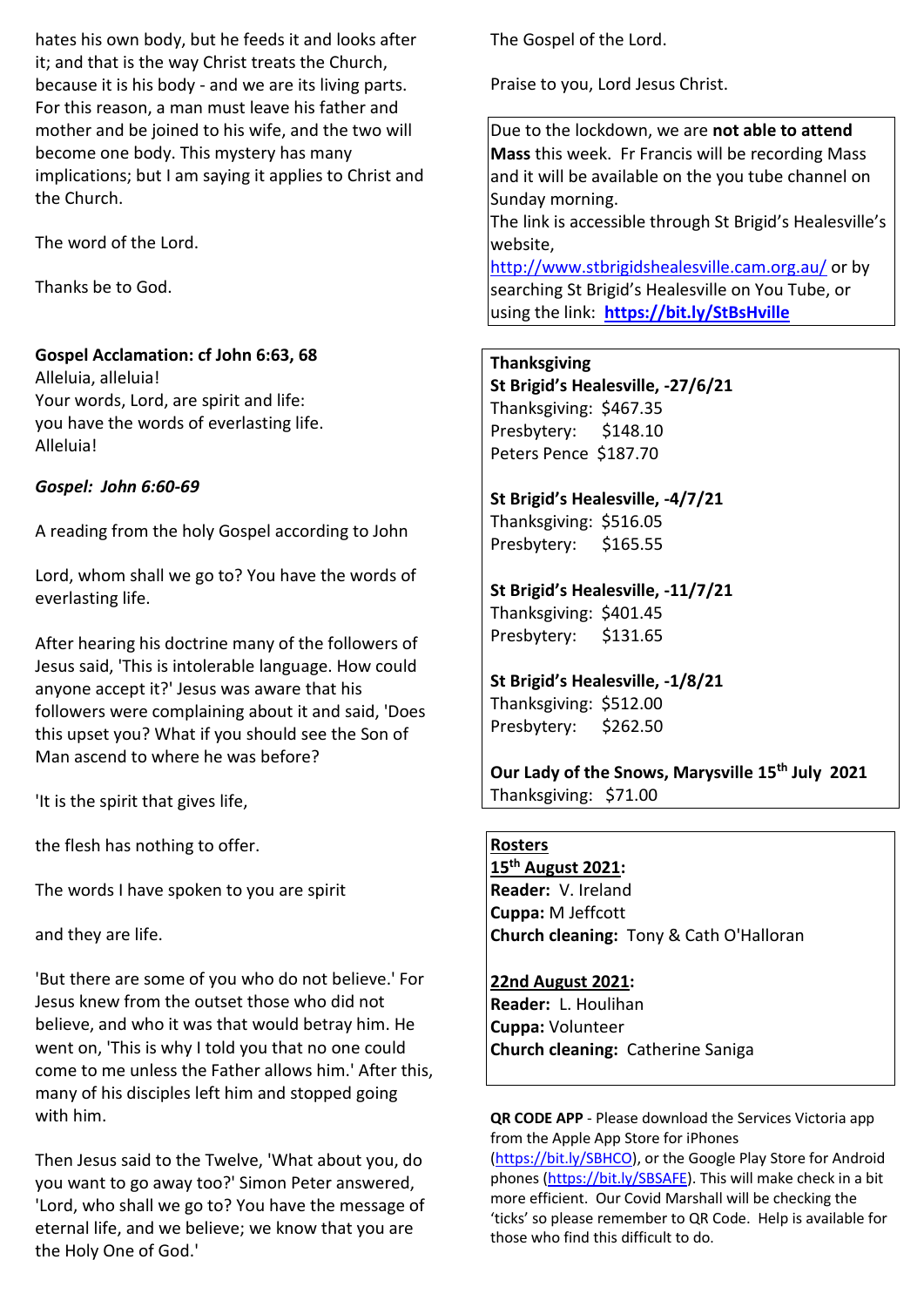hates his own body, but he feeds it and looks after it; and that is the way Christ treats the Church, because it is his body - and we are its living parts. For this reason, a man must leave his father and mother and be joined to his wife, and the two will become one body. This mystery has many implications; but I am saying it applies to Christ and the Church.

The word of the Lord.

Thanks be to God.

**Gospel Acclamation: cf John 6:63, 68** Alleluia, alleluia! Your words, Lord, are spirit and life: you have the words of everlasting life. Alleluia!

# *Gospel: John 6:60-69*

A reading from the holy Gospel according to John

Lord, whom shall we go to? You have the words of everlasting life.

After hearing his doctrine many of the followers of Jesus said, 'This is intolerable language. How could anyone accept it?' Jesus was aware that his followers were complaining about it and said, 'Does this upset you? What if you should see the Son of Man ascend to where he was before?

'It is the spirit that gives life,

the flesh has nothing to offer.

The words I have spoken to you are spirit

and they are life.

'But there are some of you who do not believe.' For Jesus knew from the outset those who did not believe, and who it was that would betray him. He went on, 'This is why I told you that no one could come to me unless the Father allows him.' After this, many of his disciples left him and stopped going with him.

Then Jesus said to the Twelve, 'What about you, do you want to go away too?' Simon Peter answered, 'Lord, who shall we go to? You have the message of eternal life, and we believe; we know that you are the Holy One of God.'

The Gospel of the Lord.

Praise to you, Lord Jesus Christ.

Due to the lockdown, we are **not able to attend Mass** this week. Fr Francis will be recording Mass and it will be available on the you tube channel on Sunday morning.

The link is accessible through St Brigid's Healesville's website,

<http://www.stbrigidshealesville.cam.org.au/> or by searching St Brigid's Healesville on You Tube, or using the link: **<https://bit.ly/StBsHville>**

### **Thanksgiving**

**St Brigid's Healesville, -27/6/21** Thanksgiving: \$467.35 Presbytery: \$148.10 Peters Pence \$187.70

# **St Brigid's Healesville, -4/7/21**

Thanksgiving: \$516.05 Presbytery: \$165.55

**St Brigid's Healesville, -11/7/21** Thanksgiving: \$401.45 Presbytery: \$131.65

**St Brigid's Healesville, -1/8/21** Thanksgiving: \$512.00 Presbytery: \$262.50

**Our Lady of the Snows, Marysville 15th July 2021**  Thanksgiving: \$71.00

#### **Rosters**

**15th August 2021: Reader:** V. Ireland **Cuppa:** M Jeffcott **Church cleaning:** Tony & Cath O'Halloran

#### **22nd August 2021:**

**Reader:** L. Houlihan **Cuppa:** Volunteer **Church cleaning:** Catherine Saniga

**QR CODE APP** - Please download the Services Victoria app from the Apple App Store for iPhones [\(https://bit.ly/SBHCO\)](https://bit.ly/SBHCO), or the Google Play Store for Android phones [\(https://bit.ly/SBSAFE\)](https://bit.ly/SBSAFE). This will make check in a bit more efficient. Our Covid Marshall will be checking the 'ticks' so please remember to QR Code. Help is available for those who find this difficult to do.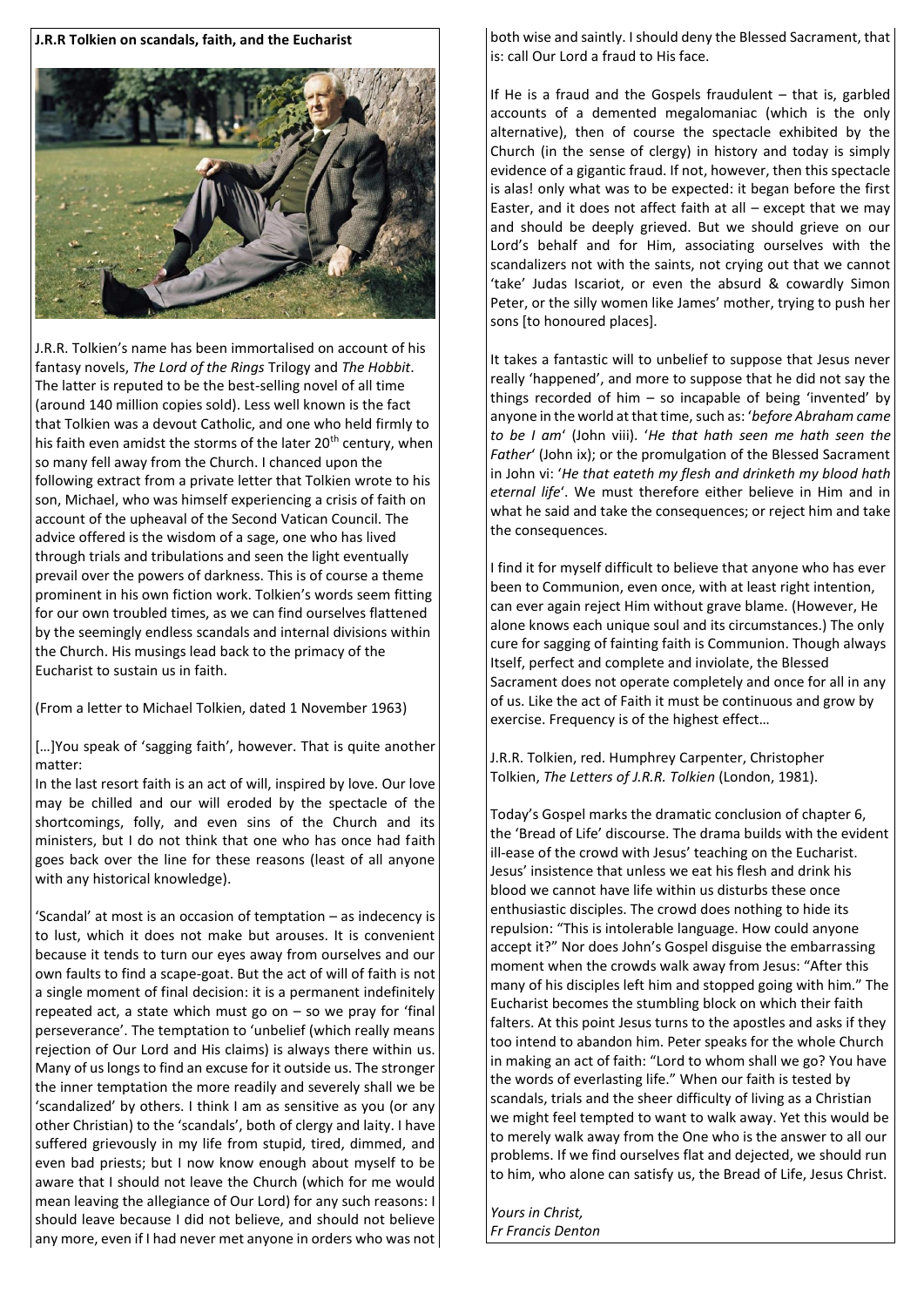**J.R.R Tolkien on scandals, faith, and the Eucharist**



J.R.R. Tolkien's name has been immortalised on account of his fantasy novels, *The Lord of the Rings* Trilogy and *The Hobbit*. The latter is reputed to be the best-selling novel of all time (around 140 million copies sold). Less well known is the fact that Tolkien was a devout Catholic, and one who held firmly to his faith even amidst the storms of the later 20<sup>th</sup> century, when so many fell away from the Church. I chanced upon the following extract from a private letter that Tolkien wrote to his son, Michael, who was himself experiencing a crisis of faith on account of the upheaval of the Second Vatican Council. The advice offered is the wisdom of a sage, one who has lived through trials and tribulations and seen the light eventually prevail over the powers of darkness. This is of course a theme prominent in his own fiction work. Tolkien's words seem fitting for our own troubled times, as we can find ourselves flattened by the seemingly endless scandals and internal divisions within the Church. His musings lead back to the primacy of the Eucharist to sustain us in faith.

(From a letter to Michael Tolkien, dated 1 November 1963)

[…]You speak of 'sagging faith', however. That is quite another matter:

In the last resort faith is an act of will, inspired by love. Our love may be chilled and our will eroded by the spectacle of the shortcomings, folly, and even sins of the Church and its ministers, but I do not think that one who has once had faith goes back over the line for these reasons (least of all anyone with any historical knowledge).

'Scandal' at most is an occasion of temptation – as indecency is to lust, which it does not make but arouses. It is convenient because it tends to turn our eyes away from ourselves and our own faults to find a scape-goat. But the act of will of faith is not a single moment of final decision: it is a permanent indefinitely repeated act, a state which must go on  $-$  so we pray for 'final perseverance'. The temptation to 'unbelief (which really means rejection of Our Lord and His claims) is always there within us. Many of us longs to find an excuse for it outside us. The stronger the inner temptation the more readily and severely shall we be 'scandalized' by others. I think I am as sensitive as you (or any other Christian) to the 'scandals', both of clergy and laity. I have suffered grievously in my life from stupid, tired, dimmed, and even bad priests; but I now know enough about myself to be aware that I should not leave the Church (which for me would mean leaving the allegiance of Our Lord) for any such reasons: I should leave because I did not believe, and should not believe any more, even if I had never met anyone in orders who was not both wise and saintly. I should deny the Blessed Sacrament, that is: call Our Lord a fraud to His face.

If He is a fraud and the Gospels fraudulent – that is, garbled accounts of a demented megalomaniac (which is the only alternative), then of course the spectacle exhibited by the Church (in the sense of clergy) in history and today is simply evidence of a gigantic fraud. If not, however, then this spectacle is alas! only what was to be expected: it began before the first Easter, and it does not affect faith at all – except that we may and should be deeply grieved. But we should grieve on our Lord's behalf and for Him, associating ourselves with the scandalizers not with the saints, not crying out that we cannot 'take' Judas Iscariot, or even the absurd & cowardly Simon Peter, or the silly women like James' mother, trying to push her sons [to honoured places].

It takes a fantastic will to unbelief to suppose that Jesus never really 'happened', and more to suppose that he did not say the things recorded of him  $-$  so incapable of being 'invented' by anyone in the world at that time, such as: '*before Abraham came to be I am*' (John viii). '*He that hath seen me hath seen the Father*' (John ix); or the promulgation of the Blessed Sacrament in John vi: '*He that eateth my flesh and drinketh my blood hath eternal life*'. We must therefore either believe in Him and in what he said and take the consequences; or reject him and take the consequences.

I find it for myself difficult to believe that anyone who has ever been to Communion, even once, with at least right intention, can ever again reject Him without grave blame. (However, He alone knows each unique soul and its circumstances.) The only cure for sagging of fainting faith is Communion. Though always Itself, perfect and complete and inviolate, the Blessed Sacrament does not operate completely and once for all in any of us. Like the act of Faith it must be continuous and grow by exercise. Frequency is of the highest effect…

J.R.R. Tolkien, red. Humphrey Carpenter, Christopher Tolkien, *The Letters of J.R.R. Tolkien* (London, 1981).

Today's Gospel marks the dramatic conclusion of chapter 6, the 'Bread of Life' discourse. The drama builds with the evident ill-ease of the crowd with Jesus' teaching on the Eucharist. Jesus' insistence that unless we eat his flesh and drink his blood we cannot have life within us disturbs these once enthusiastic disciples. The crowd does nothing to hide its repulsion: "This is intolerable language. How could anyone accept it?" Nor does John's Gospel disguise the embarrassing moment when the crowds walk away from Jesus: "After this many of his disciples left him and stopped going with him." The Eucharist becomes the stumbling block on which their faith falters. At this point Jesus turns to the apostles and asks if they too intend to abandon him. Peter speaks for the whole Church in making an act of faith: "Lord to whom shall we go? You have the words of everlasting life." When our faith is tested by scandals, trials and the sheer difficulty of living as a Christian we might feel tempted to want to walk away. Yet this would be to merely walk away from the One who is the answer to all our problems. If we find ourselves flat and dejected, we should run to him, who alone can satisfy us, the Bread of Life, Jesus Christ.

*Yours in Christ, Fr Francis Denton*